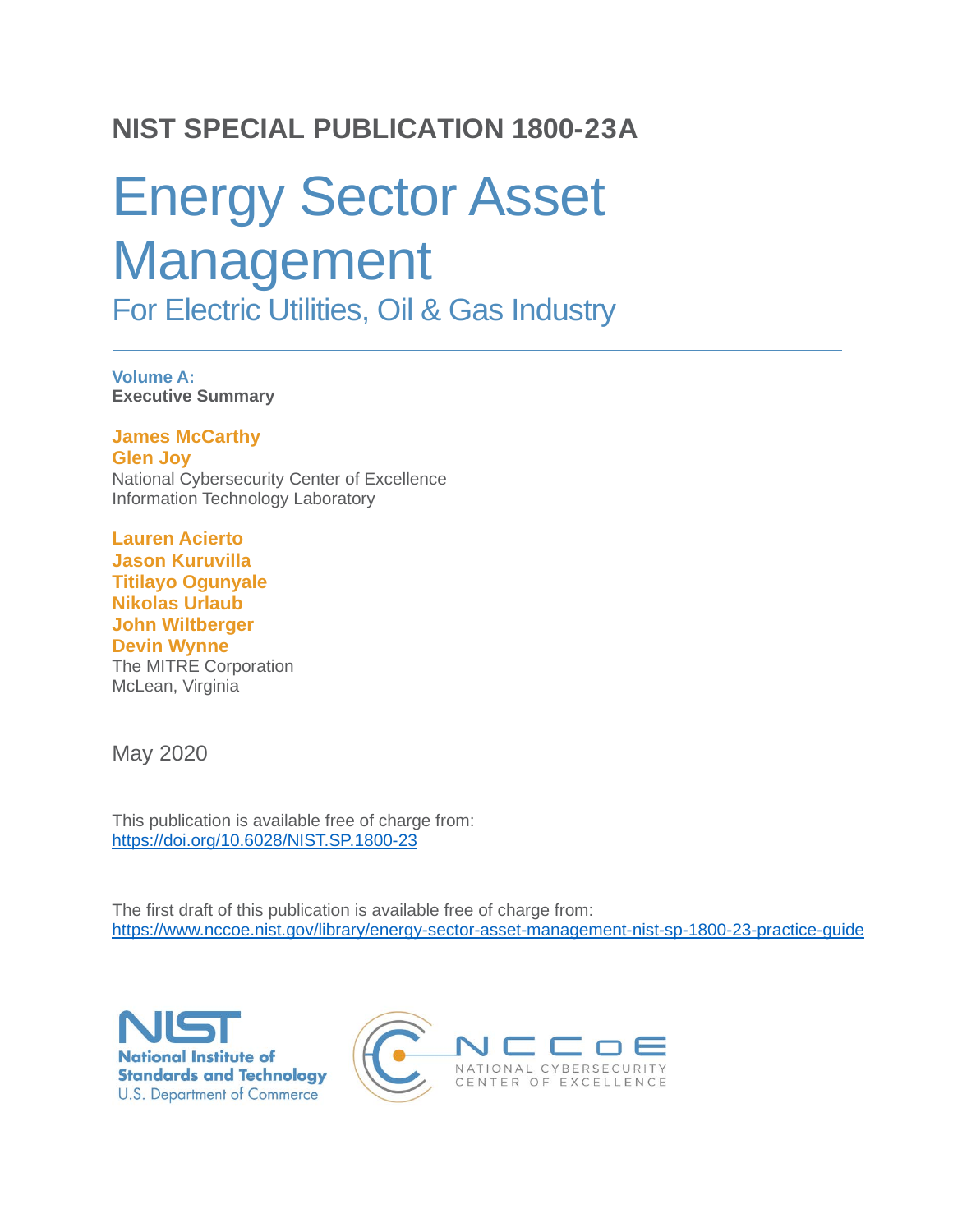### **NIST SPECIAL PUBLICATION 1800-23A**

# Energy Sector Asset Management For Electric Utilities, Oil & Gas Industry

**Volume A: Executive Summary**

**James McCarthy Glen Joy** National Cybersecurity Center of Excellence Information Technology Laboratory

**Lauren Acierto Jason Kuruvilla Titilayo Ogunyale Nikolas Urlaub John Wiltberger Devin Wynne** The MITRE Corporation McLean, Virginia

May 2020

This publication is available free of charge from: <https://doi.org/10.6028/NIST.SP.1800-23>

The first draft of this publication is available free of charge from: <https://www.nccoe.nist.gov/library/energy-sector-asset-management-nist-sp-1800-23-practice-guide>



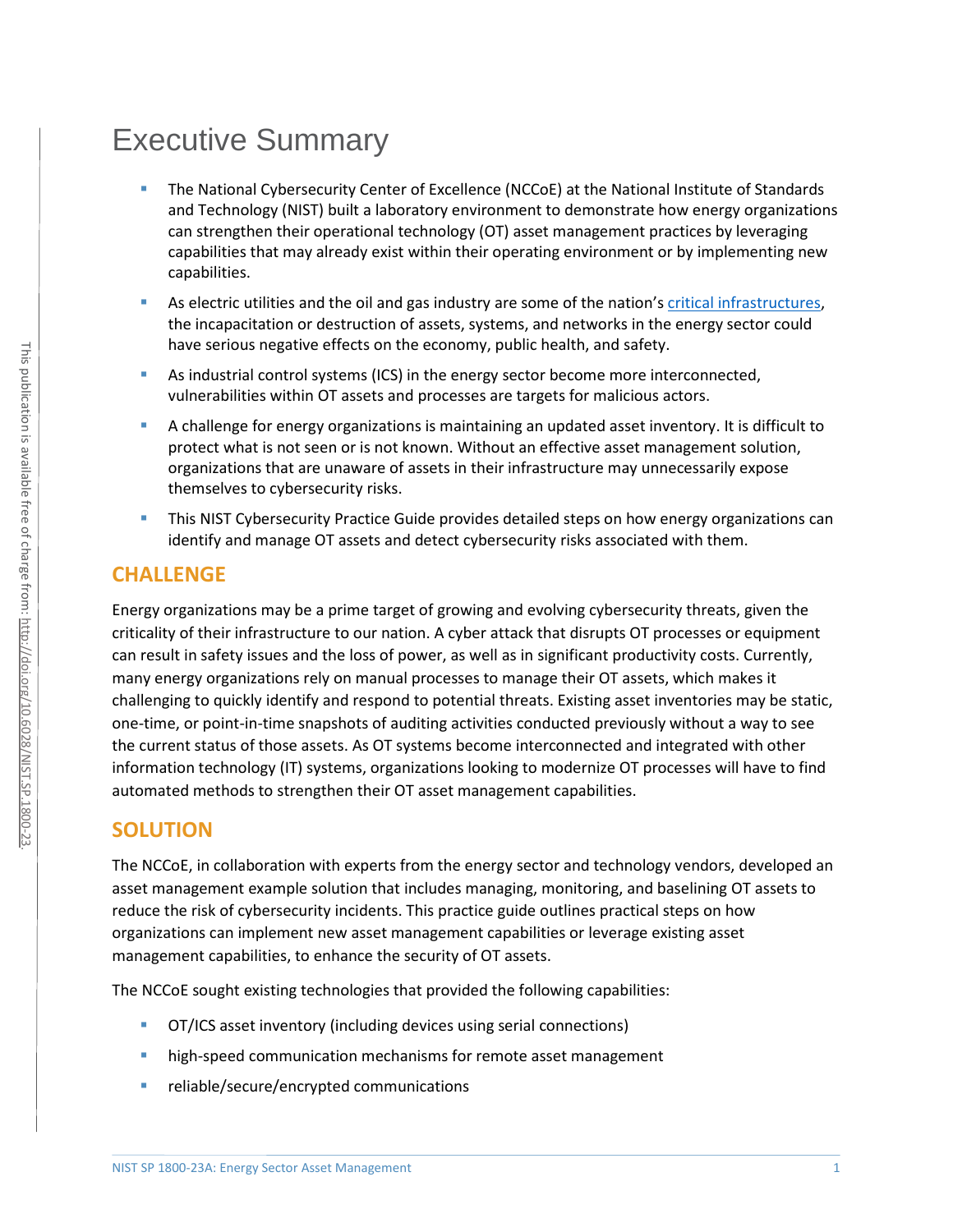## Executive Summary

- The National Cybersecurity Center of Excellence (NCCoE) at the National Institute of Standards and Technology (NIST) built a laboratory environment to demonstrate how energy organizations can strengthen their operational technology (OT) asset management practices by leveraging capabilities that may already exist within their operating environment or by implementing new capabilities.
- As electric utilities and the oil and gas industry are some of the nation's [critical infrastructures,](https://www.dhs.gov/cisa/critical-infrastructure-sectors) the incapacitation or destruction of assets, systems, and networks in the energy sector could have serious negative effects on the economy, public health, and safety.
- As industrial control systems (ICS) in the energy sector become more interconnected, vulnerabilities within OT assets and processes are targets for malicious actors.
- A challenge for energy organizations is maintaining an updated asset inventory. It is difficult to protect what is not seen or is not known. Without an effective asset management solution, organizations that are unaware of assets in their infrastructure may unnecessarily expose themselves to cybersecurity risks.
- This NIST Cybersecurity Practice Guide provides detailed steps on how energy organizations can identify and manage OT assets and detect cybersecurity risks associated with them.

#### **CHALLENGE**

[Energy organizations may](http://doi.org/10.6028/NIST.SP.1800-23) be a prime target of growing and evolving cybersecurity threats, given the criticality of their infrastructure to our nation. A cyber attack that disrupts OT processes or equipment can result in safety issues and the loss of power, as well as in significant productivity costs. Currently, many energy organizations rely on manual processes to manage their OT assets, which makes it challenging to quickly identify and respond to potential threats. Existing asset inventories may be static, one-time, or point-in-time snapshots of auditing activities conducted previously without a way to see the current status of those assets. As OT systems become interconnected and integrated with other information technology (IT) systems, organizations looking to modernize OT processes will have to find automated methods to strengthen their OT asset management capabilities.

#### **SOLUTION**

The NCCoE, in collaboration with experts from the energy sector and technology vendors, developed an asset management example solution that includes managing, monitoring, and baselining OT assets to reduce the risk of cybersecurity incidents. This practice guide outlines practical steps on how organizations can implement new asset management capabilities or leverage existing asset management capabilities, to enhance the security of OT assets.

The NCCoE sought existing technologies that provided the following capabilities:

- OT/ICS asset inventory (including devices using serial connections)
- high-speed communication mechanisms for remote asset management
- **F** reliable/secure/encrypted communications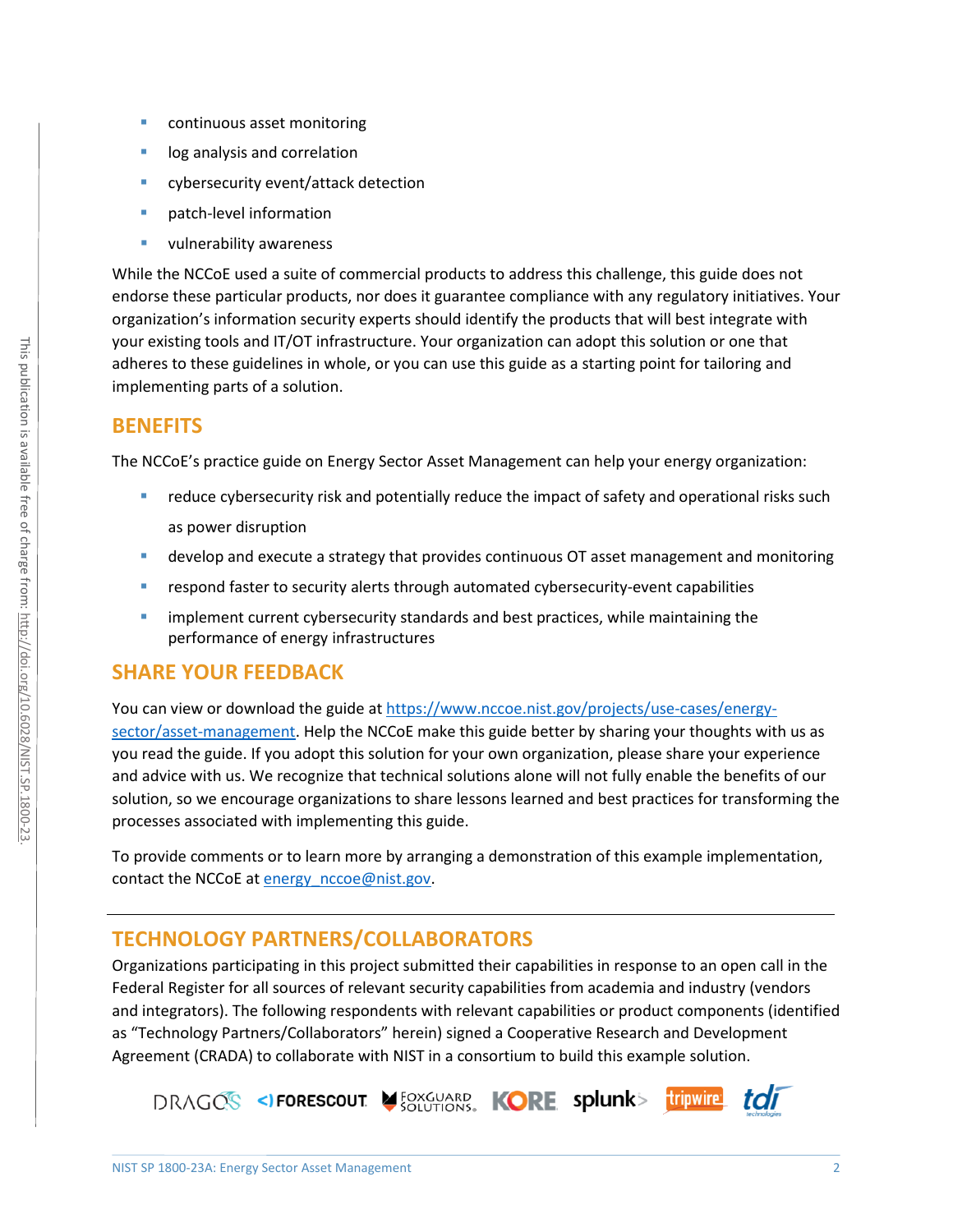- continuous asset monitoring
- log analysis and correlation
- **E** cybersecurity event/attack detection
- patch-level information
- **vulnerability awareness**

While the NCCoE used a suite of commercial products to address this challenge, this guide does not endorse these particular products, nor does it guarantee compliance with any regulatory initiatives. Your organization's information security experts should identify the products that will best integrate with your existing tools and IT/OT infrastructure. Your organization can adopt this solution or one that adheres to these guidelines in whole, or you can use this guide as a starting point for tailoring and implementing parts of a solution.

#### **BENEFITS**

The NCCoE's practice guide on Energy Sector Asset Management can help your energy organization:

- reduce cybersecurity risk and potentially reduce the impact of safety and operational risks such as power disruption
- develop and execute a strategy that provides continuous OT asset management and monitoring
- **•** respond faster to security alerts through automated cybersecurity-event capabilities
- **Indement current cybersecurity standards and best practices, while maintaining the** performance of energy infrastructures

#### **SHARE YOUR FEEDBACK**

You can view or download the guide at [https://www.nccoe.nist.gov/projects/use-cases/energy-](https://www.nccoe.nist.gov/projects/use-cases/energy-sector/asset-management)

[sector/asset-management.](https://www.nccoe.nist.gov/projects/use-cases/energy-sector/asset-management) Help the NCCoE make this guide better by sharing your thoughts with us as you read the guide. If you adopt this solution for your own organization, please share your experience and advice with us. We recognize that technical solutions alone will not fully enable the benefits of our solution, so we encourage organizations to share lessons learned and best practices for transforming the processes associated with implementing this guide.

To provide comments or to learn more by arranging a demonstration of this example implementation, contact the NCCoE at [energy\\_nccoe@nist.gov.](mailto:energy_nccoe@nist.gov)

#### **TECHNOLOGY PARTNERS/COLLABORATORS**

Organizations participating in this project submitted their capabilities in response to an open call in the Federal Register for all sources of relevant security capabilities from academia and industry (vendors and integrators). The following respondents with relevant capabilities or product components (identified as "Technology Partners/Collaborators" herein) signed a Cooperative Research and Development Agreement (CRADA) to collaborate with NIST in a consortium to build this example solution.

DRAGOS <>
FORESCOUT SOLUTIONS, KORE splunk> tripwire